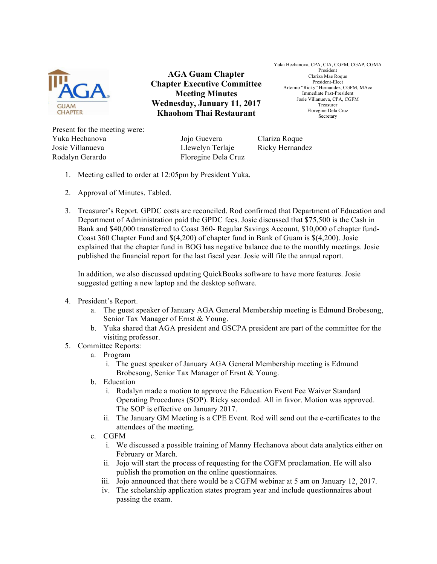

**AGA Guam Chapter Chapter Executive Committee Meeting Minutes Wednesday, January 11, 2017 Khaohom Thai Restaurant**

Yuka Hechanova, CPA, CIA, CGFM, CGAP, CGMA President Clariza Mae Roque President-Elect Artemio "Ricky" Hernandez, CGFM, MAcc Immediate Past-President Josie Villanueva, CPA, CGFM Treasurer Floregine Dela Cruz Secretary

Present for the meeting were: Yuka Hechanova Jojo Guevera Clariza Roque Josie Villanueva Llewelyn Terlaje Ricky Hernandez Rodalyn Gerardo Floregine Dela Cruz

- 1. Meeting called to order at 12:05pm by President Yuka.
- 2. Approval of Minutes. Tabled.
- 3. Treasurer's Report. GPDC costs are reconciled. Rod confirmed that Department of Education and Department of Administration paid the GPDC fees. Josie discussed that \$75,500 is the Cash in Bank and \$40,000 transferred to Coast 360- Regular Savings Account, \$10,000 of chapter fund-Coast 360 Chapter Fund and \$(4,200) of chapter fund in Bank of Guam is \$(4,200). Josie explained that the chapter fund in BOG has negative balance due to the monthly meetings. Josie published the financial report for the last fiscal year. Josie will file the annual report.

In addition, we also discussed updating QuickBooks software to have more features. Josie suggested getting a new laptop and the desktop software.

- 4. President's Report.
	- a. The guest speaker of January AGA General Membership meeting is Edmund Brobesong, Senior Tax Manager of Ernst & Young.
	- b. Yuka shared that AGA president and GSCPA president are part of the committee for the visiting professor.
- 5. Committee Reports:
	- a. Program
		- i. The guest speaker of January AGA General Membership meeting is Edmund Brobesong, Senior Tax Manager of Ersnt & Young.
	- b. Education
		- i. Rodalyn made a motion to approve the Education Event Fee Waiver Standard Operating Procedures (SOP). Ricky seconded. All in favor. Motion was approved. The SOP is effective on January 2017.
		- ii. The January GM Meeting is a CPE Event. Rod will send out the e-certificates to the attendees of the meeting.
	- c. CGFM
		- i. We discussed a possible training of Manny Hechanova about data analytics either on February or March.
		- ii. Jojo will start the process of requesting for the CGFM proclamation. He will also publish the promotion on the online questionnaires.
		- iii. Jojo announced that there would be a CGFM webinar at 5 am on January 12, 2017.
		- iv. The scholarship application states program year and include questionnaires about passing the exam.